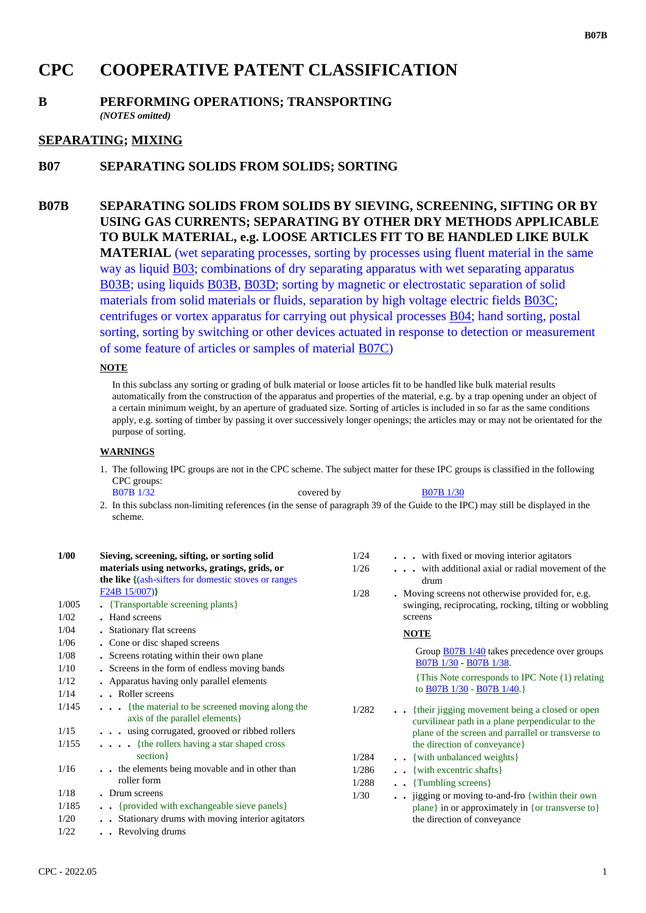# **CPC COOPERATIVE PATENT CLASSIFICATION**

## **B PERFORMING OPERATIONS; TRANSPORTING** *(NOTES omitted)*

# **SEPARATING; MIXING**

# **B07 SEPARATING SOLIDS FROM SOLIDS; SORTING**

**B07B SEPARATING SOLIDS FROM SOLIDS BY SIEVING, SCREENING, SIFTING OR BY USING GAS CURRENTS; SEPARATING BY OTHER DRY METHODS APPLICABLE TO BULK MATERIAL, e.g. LOOSE ARTICLES FIT TO BE HANDLED LIKE BULK MATERIAL** (wet separating processes, sorting by processes using fluent material in the same way as liquid B03; combinations of dry separating apparatus with wet separating apparatus B03B; using liquids B03B, B03D; sorting by magnetic or electrostatic separation of solid materials from solid materials or fluids, separation by high voltage electric fields B03C; centrifuges or vortex apparatus for carrying out physical processes B04; hand sorting, postal sorting, sorting by switching or other devices actuated in response to detection or measurement of some feature of articles or samples of material B07C)

#### **NOTE**

In this subclass any sorting or grading of bulk material or loose articles fit to be handled like bulk material results automatically from the construction of the apparatus and properties of the material, e.g. by a trap opening under an object of a certain minimum weight, by an aperture of graduated size. Sorting of articles is included in so far as the same conditions apply, e.g. sorting of timber by passing it over successively longer openings; the articles may or may not be orientated for the purpose of sorting.

#### **WARNINGS**

1. The following IPC groups are not in the CPC scheme. The subject matter for these IPC groups is classified in the following CPC groups: B07B 1/32 covered by B07B 1/30

2. In this subclass non-limiting references (in the sense of paragraph 39 of the Guide to the IPC) may still be displayed in the scheme.

| 1/00  | Sieving, screening, sifting, or sorting solid                                    | 1/24  | with fixed or moving interior agitators                                                            |
|-------|----------------------------------------------------------------------------------|-------|----------------------------------------------------------------------------------------------------|
|       | materials using networks, gratings, grids, or                                    | 1/26  | with additional axial or radial movement of the                                                    |
|       | <b>the like</b> {(ash-sifters for domestic stoves or ranges)                     |       | drum                                                                                               |
|       | $F24B$ 15/007)                                                                   | 1/28  | . Moving screens not otherwise provided for, e.g.                                                  |
| 1/005 | • {Transportable screening plants}                                               |       | swinging, reciprocating, rocking, tilting or wobbling                                              |
| 1/02  | • Hand screens                                                                   |       | screens                                                                                            |
| 1/04  | • Stationary flat screens                                                        |       | <b>NOTE</b>                                                                                        |
| 1/06  | • Cone or disc shaped screens                                                    |       |                                                                                                    |
| 1/08  | • Screens rotating within their own plane                                        |       | Group $\underline{B07B}$ 1/40 takes precedence over groups                                         |
| 1/10  | . Screens in the form of endless moving bands                                    |       | B07B 1/30 - B07B 1/38.                                                                             |
| 1/12  | • Apparatus having only parallel elements                                        |       | This Note corresponds to IPC Note (1) relating                                                     |
| 1/14  | . . Roller screens                                                               |       | to B07B 1/30 - B07B 1/40.                                                                          |
| 1/145 | {the material to be screened moving along the<br>axis of the parallel elements } | 1/282 | {their jigging movement being a closed or open<br>curvilinear path in a plane perpendicular to the |
| 1/15  | using corrugated, grooved or ribbed rollers                                      |       | plane of the screen and parrallel or transverse to                                                 |
| 1/155 | . {the rollers having a star shaped cross                                        |       | the direction of conveyance}                                                                       |
|       | section }                                                                        | 1/284 | . . {with unbalanced weights}                                                                      |
| 1/16  | the elements being movable and in other than                                     | 1/286 | {with excentric shafts}                                                                            |
|       | roller form                                                                      | 1/288 | {Tumbling screens}                                                                                 |
| 1/18  | . Drum screens                                                                   | 1/30  | jigging or moving to-and-fro { within their own                                                    |
| 1/185 | . {provided with exchangeable sieve panels}                                      |       | plane} in or approximately in {or transverse to}                                                   |
| 1/20  | Stationary drums with moving interior agitators                                  |       | the direction of conveyance                                                                        |
| 1/22  | . . Revolving drums                                                              |       |                                                                                                    |

**B07B**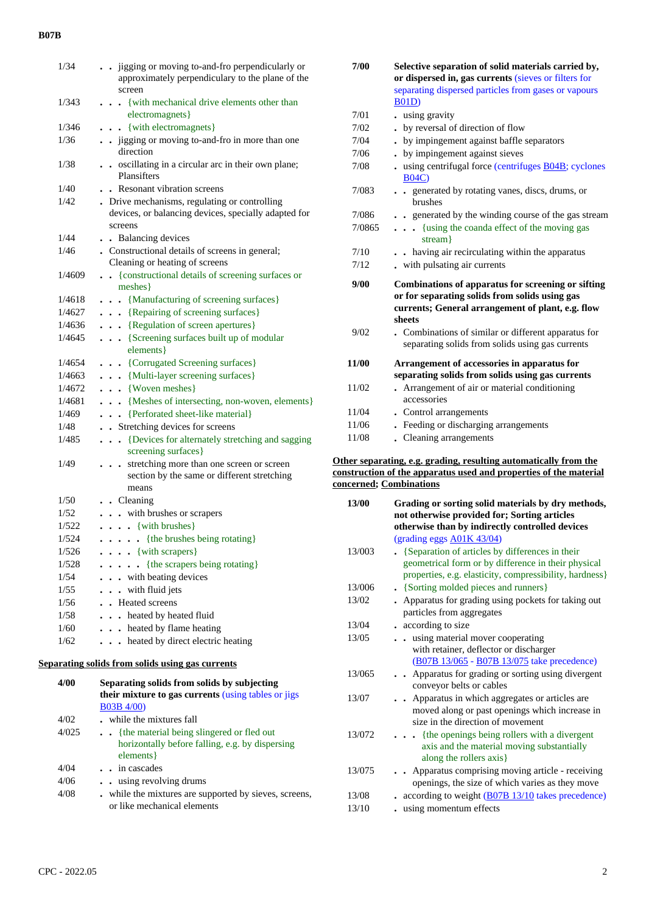## **B07B**

| 1/34   | . . jigging or moving to-and-fro perpendicularly or<br>approximately perpendiculary to the plane of the<br>screen       |
|--------|-------------------------------------------------------------------------------------------------------------------------|
| 1/343  | {with mechanical drive elements other than<br>electromagnets}                                                           |
| 1/346  | . . {with electromagnets}                                                                                               |
| 1/36   | jigging or moving to-and-fro in more than one<br>direction                                                              |
| 1/38   | . oscillating in a circular arc in their own plane;<br>Plansifters                                                      |
| 1/40   | Resonant vibration screens                                                                                              |
| 1/42   | . Drive mechanisms, regulating or controlling<br>devices, or balancing devices, specially adapted for<br>screens        |
| 1/44   | • Balancing devices                                                                                                     |
| 1/46   | . Constructional details of screens in general;<br>Cleaning or heating of screens                                       |
| 1/4609 | {constructional details of screening surfaces or<br>meshes }                                                            |
| 1/4618 | . {Manufacturing of screening surfaces}                                                                                 |
| 1/4627 | . {Repairing of screening surfaces}                                                                                     |
| 1/4636 | . {Regulation of screen apertures}                                                                                      |
| 1/4645 | . {Screening surfaces built up of modular<br>elements }                                                                 |
| 1/4654 | . {Corrugated Screening surfaces}                                                                                       |
| 1/4663 | . {Multi-layer screening surfaces}                                                                                      |
| 1/4672 | $\ldots$ {Woven meshes}                                                                                                 |
| 1/4681 | . {Meshes of intersecting, non-woven, elements}                                                                         |
| 1/469  | . Perforated sheet-like material}                                                                                       |
| 1/48   | . Stretching devices for screens                                                                                        |
| 1/485  | {Devices for alternately stretching and sagging<br>$\ddot{\phantom{0}}$<br>screening surfaces}                          |
| 1/49   | stretching more than one screen or screen<br>section by the same or different stretching<br>means                       |
| 1/50   | . Cleaning                                                                                                              |
| 1/52   | . . with brushes or scrapers                                                                                            |
| 1/522  | $\ldots$ {with brushes}                                                                                                 |
| 1/524  | $\cdots$ $\cdots$ {the brushes being rotating}                                                                          |
| 1/526  | $\ldots$ {with scrapers}                                                                                                |
| 1/528  | {the scrapers being rotating}<br>.                                                                                      |
| 1/54   | . with beating devices                                                                                                  |
| 1/55   | with fluid jets<br>$\ddot{\phantom{0}}$                                                                                 |
| 1/56   | <b>Heated</b> screens                                                                                                   |
| 1/58   | heated by heated fluid<br>$\ddot{\phantom{a}}$                                                                          |
| 1/60   | heated by flame heating                                                                                                 |
| 1/62   | heated by direct electric heating                                                                                       |
|        | Separating solids from solids using gas currents                                                                        |
| 4/00   | Separating solids from solids by subjecting<br>their mixture to gas currents (using tables or jigs<br><b>B03B 4/00)</b> |
| 4/02   | while the mixtures fall                                                                                                 |
| 4/025  | {the material being slingered or fled out                                                                               |
|        | horizontally before falling, e.g. by dispersing<br>elements }                                                           |
| 4/04   | in cascades                                                                                                             |
|        |                                                                                                                         |

| 4/06 |  | . . using revolving drums |
|------|--|---------------------------|
|------|--|---------------------------|

| 4/08 | while the mixtures are supported by sieves, screens, |
|------|------------------------------------------------------|
|      | or like mechanical elements                          |

| 7/00         | Selective separation of solid materials carried by,<br>or dispersed in, gas currents (sieves or filters for<br>separating dispersed particles from gases or vapours                                                                |
|--------------|------------------------------------------------------------------------------------------------------------------------------------------------------------------------------------------------------------------------------------|
|              | <b>B01D</b> )                                                                                                                                                                                                                      |
| 7/01         | using gravity                                                                                                                                                                                                                      |
| 7/02         | by reversal of direction of flow                                                                                                                                                                                                   |
| 7/04         | by impingement against baffle separators                                                                                                                                                                                           |
| 7/06         | by impingement against sieves                                                                                                                                                                                                      |
| 7/08         | using centrifugal force (centrifuges B04B; cyclones<br><b>B04C)</b>                                                                                                                                                                |
| 7/083        | example separated by rotating vanes, discs, drums, or<br>brushes                                                                                                                                                                   |
| 7/086        | generated by the winding course of the gas stream                                                                                                                                                                                  |
| 7/0865       | {using the coanda effect of the moving gas<br>$\cdots$<br>stream }                                                                                                                                                                 |
| 7/10         | having air recirculating within the apparatus                                                                                                                                                                                      |
| 7/12         | . with pulsating air currents                                                                                                                                                                                                      |
| 9/00<br>9/02 | <b>Combinations of apparatus for screening or sifting</b><br>or for separating solids from solids using gas<br>currents; General arrangement of plant, e.g. flow<br>sheets<br>. Combinations of similar or different apparatus for |
|              | separating solids from solids using gas currents                                                                                                                                                                                   |
| 11/00        | Arrangement of accessories in apparatus for<br>separating solids from solids using gas currents                                                                                                                                    |
| 11/02        | Arrangement of air or material conditioning<br>accessories                                                                                                                                                                         |
| 11/04        | . Control arrangements                                                                                                                                                                                                             |
| 11/06        | Feeding or discharging arrangements                                                                                                                                                                                                |
| 11/08        | • Cleaning arrangements                                                                                                                                                                                                            |

#### **Other separating, e.g. grading, resulting automatically from the construction of the apparatus used and properties of the material concerned; Combinations**

| 13/00  | Grading or sorting solid materials by dry methods,<br>not otherwise provided for; Sorting articles<br>otherwise than by indirectly controlled devices               |
|--------|---------------------------------------------------------------------------------------------------------------------------------------------------------------------|
|        | (grading eggs $A01K$ 43/04)                                                                                                                                         |
| 13/003 | • {Separation of articles by differences in their<br>geometrical form or by difference in their physical<br>properties, e.g. elasticity, compressibility, hardness} |
| 13/006 | • {Sorting molded pieces and runners}                                                                                                                               |
| 13/02  | . Apparatus for grading using pockets for taking out<br>particles from aggregates                                                                                   |
| 13/04  | • according to size                                                                                                                                                 |
| 13/05  | using material mover cooperating<br>$\ddotsc$<br>with retainer, deflector or discharger<br>(B07B 13/065 - B07B 13/075 take precedence)                              |
| 13/065 | Apparatus for grading or sorting using divergent<br>conveyor belts or cables                                                                                        |
| 13/07  | . Apparatus in which aggregates or articles are<br>moved along or past openings which increase in<br>size in the direction of movement                              |
| 13/072 | . {the openings being rollers with a divergent<br>axis and the material moving substantially<br>along the rollers axis}                                             |
| 13/075 | Apparatus comprising moving article - receiving<br>openings, the size of which varies as they move                                                                  |
| 13/08  | $\frac{1}{2}$ according to weight (B07B 13/10 takes precedence)                                                                                                     |
| 13/10  | using momentum effects                                                                                                                                              |